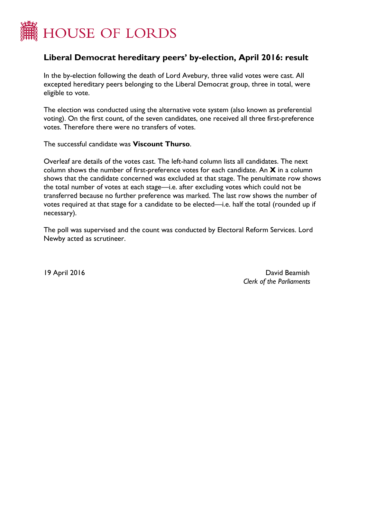

## **Liberal Democrat hereditary peers' by-election, April 2016: result**

In the by-election following the death of Lord Avebury, three valid votes were cast. All excepted hereditary peers belonging to the Liberal Democrat group, three in total, were eligible to vote.

The election was conducted using the alternative vote system (also known as preferential voting). On the first count, of the seven candidates, one received all three first-preference votes. Therefore there were no transfers of votes.

The successful candidate was **Viscount Thurso**.

Overleaf are details of the votes cast. The left-hand column lists all candidates. The next column shows the number of first-preference votes for each candidate. An **X** in a column shows that the candidate concerned was excluded at that stage. The penultimate row shows the total number of votes at each stage—i.e. after excluding votes which could not be transferred because no further preference was marked. The last row shows the number of votes required at that stage for a candidate to be elected—i.e. half the total (rounded up if necessary).

The poll was supervised and the count was conducted by Electoral Reform Services. Lord Newby acted as scrutineer.

19 April 2016 David Beamish *Clerk of the Parliaments*